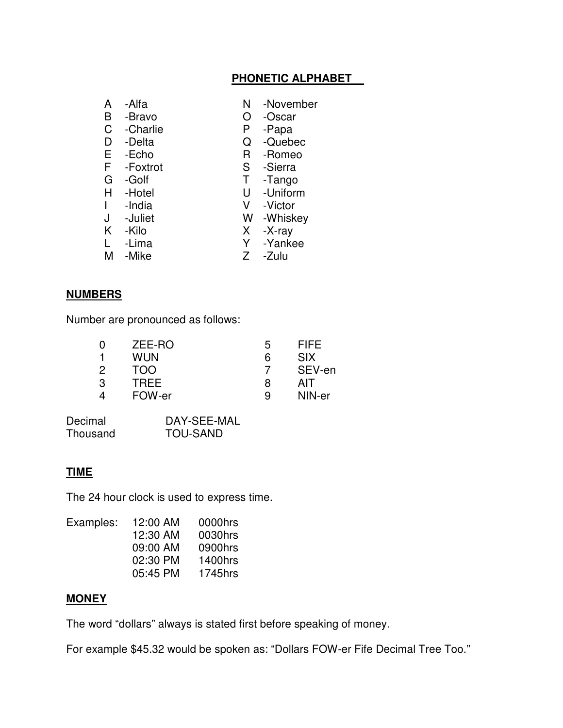#### **PHONETIC ALPHABET**

- 
- A -Alfa N -November

U -Uniform

- B -Bravo O -Oscar
- C -Charlie P -Papa
- D -Delta Q -Quebec
- E -Echo R -Romeo<br>F -Foxtrot R -Sierra
- F -Foxtrot
- 
- G -Golf T -Tango<br>
H -Hotel U -Uniforn
- 
- I -India V -Victor
- 
- W -Whiskey
- K -Kilo X -X-ray
- L -Lima Y -Yankee<br>M -Mike X -Zulu M -Mike
	-

#### **NUMBERS**

Number are pronounced as follows:

|            | ა           | <b>FIFE</b> |
|------------|-------------|-------------|
| <b>WUN</b> | 6           | <b>SIX</b>  |
| TOO        |             | SEV-en      |
| TREE       | 8           | AIT         |
| FOW-er     | 9           | NIN-er      |
| З          | ZEE-RO<br>2 |             |

| Decimal  | DAY-SEE-MAL     |
|----------|-----------------|
| Thousand | <b>TOU-SAND</b> |

### **TIME**

The 24 hour clock is used to express time.

| Examples: | 12:00 AM | 0000hrs |
|-----------|----------|---------|
|           | 12:30 AM | 0030hrs |
|           | 09:00 AM | 0900hrs |
|           | 02:30 PM | 1400hrs |
|           | 05:45 PM | 1745hrs |

#### **MONEY**

The word "dollars" always is stated first before speaking of money.

For example \$45.32 would be spoken as: "Dollars FOW-er Fife Decimal Tree Too."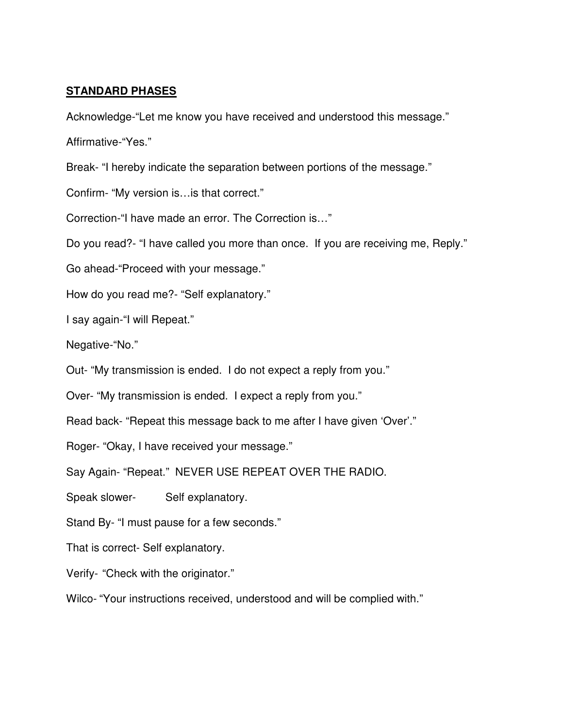#### **STANDARD PHASES**

Acknowledge-"Let me know you have received and understood this message." Affirmative-"Yes."

Break- "I hereby indicate the separation between portions of the message."

Confirm- "My version is…is that correct."

Correction-"I have made an error. The Correction is…"

Do you read?- "I have called you more than once. If you are receiving me, Reply."

Go ahead-"Proceed with your message."

How do you read me?- "Self explanatory."

I say again-"I will Repeat."

Negative-"No."

Out- "My transmission is ended. I do not expect a reply from you."

Over- "My transmission is ended. I expect a reply from you."

Read back- "Repeat this message back to me after I have given 'Over'."

Roger- "Okay, I have received your message."

Say Again- "Repeat." NEVER USE REPEAT OVER THE RADIO.

Speak slower- Self explanatory.

Stand By- "I must pause for a few seconds."

That is correct- Self explanatory.

Verify- "Check with the originator."

Wilco- "Your instructions received, understood and will be complied with."